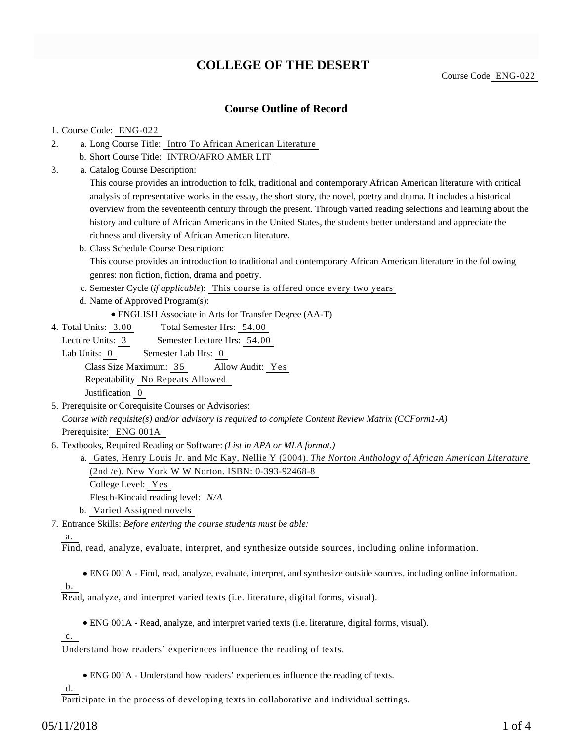# **COLLEGE OF THE DESERT**

Course Code ENG-022

## **Course Outline of Record**

### 1. Course Code: ENG-022

- a. Long Course Title: Intro To African American Literature 2.
	- b. Short Course Title: INTRO/AFRO AMER LIT
- Catalog Course Description: a. 3.

This course provides an introduction to folk, traditional and contemporary African American literature with critical analysis of representative works in the essay, the short story, the novel, poetry and drama. It includes a historical overview from the seventeenth century through the present. Through varied reading selections and learning about the history and culture of African Americans in the United States, the students better understand and appreciate the richness and diversity of African American literature.

- b. Class Schedule Course Description: This course provides an introduction to traditional and contemporary African American literature in the following genres: non fiction, fiction, drama and poetry.
- c. Semester Cycle (*if applicable*): This course is offered once every two years
- d. Name of Approved Program(s):
	- ENGLISH Associate in Arts for Transfer Degree (AA-T)
- Total Semester Hrs: 54.00 4. Total Units: 3.00

Lecture Units: 3 Semester Lecture Hrs: 54.00

Lab Units: 0 Semester Lab Hrs: 0 Class Size Maximum: 35 Allow Audit: Yes Repeatability No Repeats Allowed

Justification 0

- 5. Prerequisite or Corequisite Courses or Advisories: *Course with requisite(s) and/or advisory is required to complete Content Review Matrix (CCForm1-A)* Prerequisite: ENG 001A
- 6. Textbooks, Required Reading or Software: (List in APA or MLA format.)
	- a. Gates, Henry Louis Jr. and Mc Kay, Nellie Y (2004). *The Norton Anthology of African American Literature* (2nd /e). New York W W Norton. ISBN: 0-393-92468-8 College Level: Yes
		-
		- Flesch-Kincaid reading level: *N/A*
		- b. Varied Assigned novels
- Entrance Skills: *Before entering the course students must be able:* 7.

### a.

Find, read, analyze, evaluate, interpret, and synthesize outside sources, including online information.

ENG 001A - Find, read, analyze, evaluate, interpret, and synthesize outside sources, including online information.

b.

Read, analyze, and interpret varied texts (i.e. literature, digital forms, visual).

ENG 001A - Read, analyze, and interpret varied texts (i.e. literature, digital forms, visual).

c.

Understand how readers' experiences influence the reading of texts.

ENG 001A - Understand how readers' experiences influence the reading of texts.

d.

Participate in the process of developing texts in collaborative and individual settings.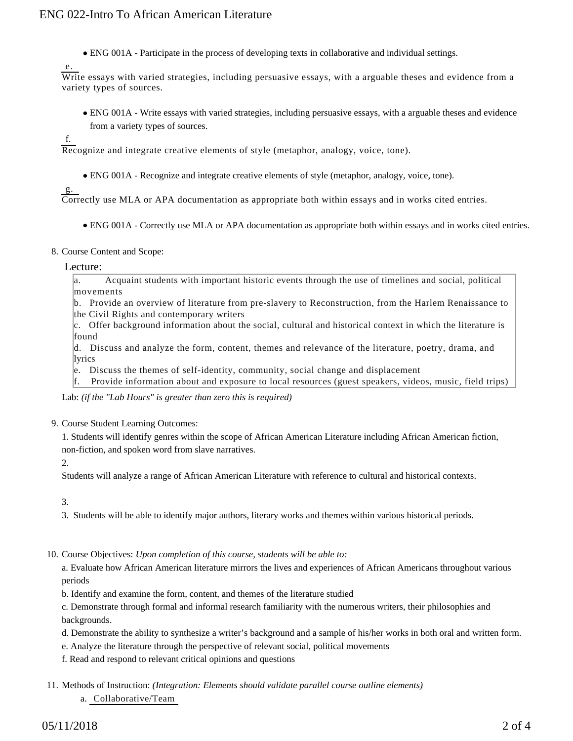ENG 001A - Participate in the process of developing texts in collaborative and individual settings.

Write essays with varied strategies, including persuasive essays, with a arguable theses and evidence from a variety types of sources.

ENG 001A - Write essays with varied strategies, including persuasive essays, with a arguable theses and evidence from a variety types of sources.

f.

e.

Recognize and integrate creative elements of style (metaphor, analogy, voice, tone).

ENG 001A - Recognize and integrate creative elements of style (metaphor, analogy, voice, tone).

g.

Correctly use MLA or APA documentation as appropriate both within essays and in works cited entries.

ENG 001A - Correctly use MLA or APA documentation as appropriate both within essays and in works cited entries.

#### 8. Course Content and Scope:

#### Lecture:

a. Acquaint students with important historic events through the use of timelines and social, political movements

b. Provide an overview of literature from pre-slavery to Reconstruction, from the Harlem Renaissance to the Civil Rights and contemporary writers

c. Offer background information about the social, cultural and historical context in which the literature is found

d. Discuss and analyze the form, content, themes and relevance of the literature, poetry, drama, and lyrics

e. Discuss the themes of self-identity, community, social change and displacement

f. Provide information about and exposure to local resources (guest speakers, videos, music, field trips)

Lab: *(if the "Lab Hours" is greater than zero this is required)*

9. Course Student Learning Outcomes:

1. Students will identify genres within the scope of African American Literature including African American fiction, non-fiction, and spoken word from slave narratives.

2.

Students will analyze a range of African American Literature with reference to cultural and historical contexts.

3.

3. Students will be able to identify major authors, literary works and themes within various historical periods.

10. Course Objectives: Upon completion of this course, students will be able to:

a. Evaluate how African American literature mirrors the lives and experiences of African Americans throughout various periods

b. Identify and examine the form, content, and themes of the literature studied

c. Demonstrate through formal and informal research familiarity with the numerous writers, their philosophies and backgrounds.

- d. Demonstrate the ability to synthesize a writer's background and a sample of his/her works in both oral and written form.
- e. Analyze the literature through the perspective of relevant social, political movements
- f. Read and respond to relevant critical opinions and questions
- 11. Methods of Instruction: *(Integration: Elements should validate parallel course outline elements)* a. Collaborative/Team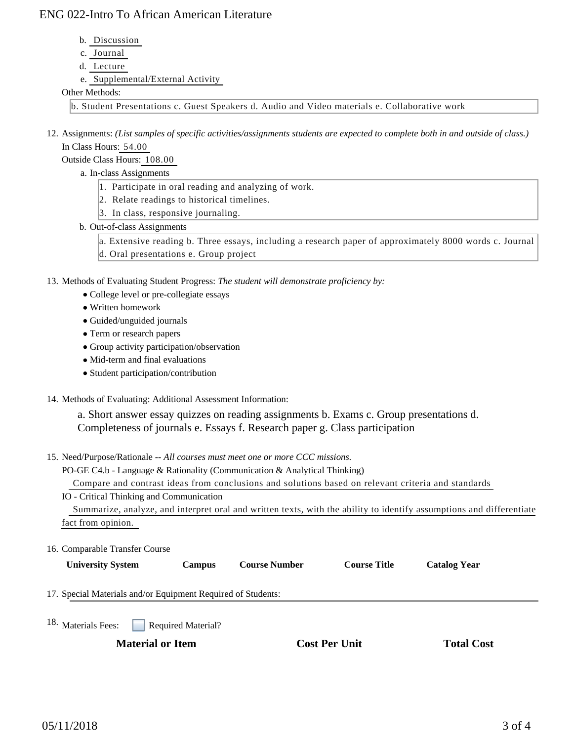# ENG 022-Intro To African American Literature

- b. Discussion
- c. Journal
- d. Lecture
- e. Supplemental/External Activity

### Other Methods:

b. Student Presentations c. Guest Speakers d. Audio and Video materials e. Collaborative work

12. Assignments: (List samples of specific activities/assignments students are expected to complete both in and outside of class.) In Class Hours: 54.00

Outside Class Hours: 108.00

- a. In-class Assignments
	- 1. Participate in oral reading and analyzing of work.
	- 2. Relate readings to historical timelines.
	- 3. In class, responsive journaling.
- b. Out-of-class Assignments

a. Extensive reading b. Three essays, including a research paper of approximately 8000 words c. Journal d. Oral presentations e. Group project

13. Methods of Evaluating Student Progress: The student will demonstrate proficiency by:

- College level or pre-collegiate essays
- Written homework
- Guided/unguided journals
- Term or research papers
- Group activity participation/observation
- Mid-term and final evaluations
- Student participation/contribution
- 14. Methods of Evaluating: Additional Assessment Information:

a. Short answer essay quizzes on reading assignments b. Exams c. Group presentations d. Completeness of journals e. Essays f. Research paper g. Class participation

15. Need/Purpose/Rationale -- All courses must meet one or more CCC missions.

PO-GE C4.b - Language & Rationality (Communication & Analytical Thinking)

Compare and contrast ideas from conclusions and solutions based on relevant criteria and standards

IO - Critical Thinking and Communication

 Summarize, analyze, and interpret oral and written texts, with the ability to identify assumptions and differentiate fact from opinion.

16. Comparable Transfer Course

**University System Campus Course Number Course Title Catalog Year**

17. Special Materials and/or Equipment Required of Students:

Required Material? 18. Materials Fees:

**Material or Item Cost Per Unit Total Cost Per Unit Total Cost Per Unit Cost Per Unit Cost Per Unit Cost Per Unit Cost Per Unit Cost Per Unit Cost Per Unit Cost Per Unit Cost Per Unit Cost Per Unit Cost Per Unit Cost Per U**